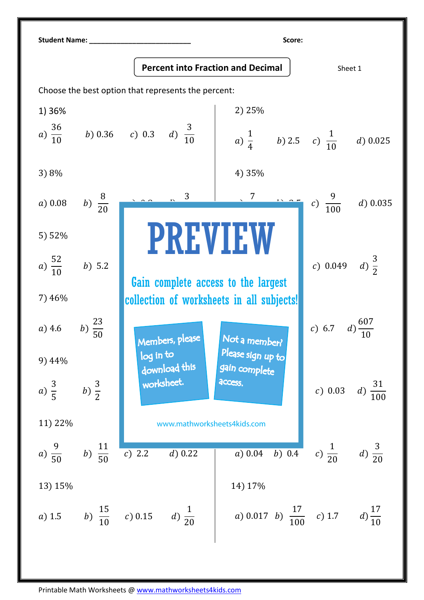